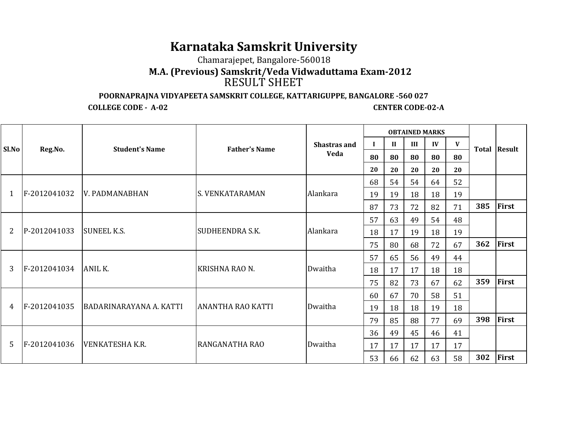## **Karnataka Samskrit University**

Chamarajepet, Bangalore-560018

 **M.A. (Previous) Samskrit/Veda Vidwaduttama Exam-2012**RESULT SHEET

**POORNAPRAJNA VIDYAPEETA SAMSKRIT COLLEGE, KATTARIGUPPE, BANGALORE -560 027**

**COLLEGE CODE - A-02** 

**CENTER CODE-02-A** 

|       |              |                         |                          |              |    |              | <b>OBTAINED MARKS</b> |              |    |     |                     |
|-------|--------------|-------------------------|--------------------------|--------------|----|--------------|-----------------------|--------------|----|-----|---------------------|
| Sl.No | Reg.No.      | <b>Student's Name</b>   | <b>Father's Name</b>     | Shastras and | Т. | $\mathbf{I}$ | III                   | $\mathbf{I}$ | V  |     | <b>Total Result</b> |
|       |              |                         |                          | <b>Veda</b>  | 80 | 80           | 80                    | 80           | 80 |     |                     |
|       |              |                         |                          |              | 20 | 20           | 20                    | 20           | 20 |     |                     |
|       |              |                         |                          |              | 68 | 54           | 54                    | 64           | 52 |     |                     |
| 1     | F-2012041032 | <b>V. PADMANABHAN</b>   | IS. VENKATARAMAN         | Alankara     | 19 | 19           | 18                    | 18           | 19 |     |                     |
|       |              |                         |                          |              | 87 | 73           | 72                    | 82           | 71 | 385 | First               |
|       |              |                         |                          |              | 57 | 63           | 49                    | 54           | 48 |     |                     |
| 2     | P-2012041033 | <b>SUNEEL K.S.</b>      | <b>SUDHEENDRA S.K.</b>   | Alankara     | 18 | 17           | 19                    | 18           | 19 |     |                     |
|       |              |                         |                          |              | 75 | 80           | 68                    | 72           | 67 | 362 | First               |
|       |              |                         |                          |              | 57 | 65           | 56                    | 49           | 44 |     |                     |
| 3     | F-2012041034 | ANIL K.                 | KRISHNA RAO N.           | Dwaitha      | 18 | 17           | 17                    | 18           | 18 |     |                     |
|       |              |                         |                          |              | 75 | 82           | 73                    | 67           | 62 | 359 | First               |
|       |              |                         |                          |              | 60 | 67           | 70                    | 58           | 51 |     |                     |
| 4     | F-2012041035 | BADARINARAYANA A. KATTI | <b>ANANTHA RAO KATTI</b> | Dwaitha      | 19 | 18           | 18                    | 19           | 18 |     |                     |
|       |              |                         |                          |              | 79 | 85           | 88                    | 77           | 69 | 398 | First               |
|       |              |                         |                          |              | 36 | 49           | 45                    | 46           | 41 |     |                     |
| .5    | F-2012041036 | <b>VENKATESHA K.R.</b>  | RANGANATHA RAO           | Dwaitha      | 17 | 17           | 17                    | 17           | 17 |     |                     |
|       |              |                         |                          |              | 53 | 66           | 62                    | 63           | 58 | 302 | First               |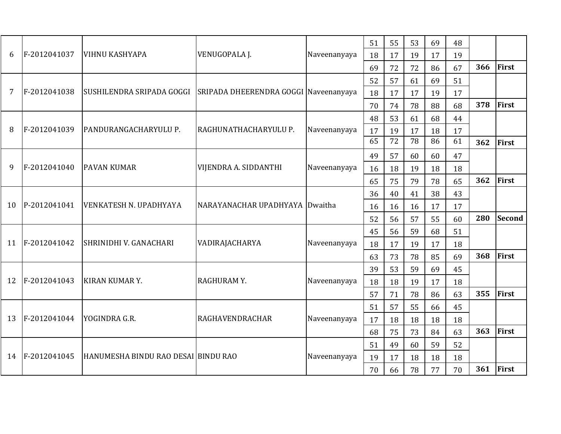| 6  | F-2012041037 | <b>VIHNU KASHYAPA</b>                                           | VENUGOPALA J.                  | Naveenanyaya | 51<br>18 | 55<br>17 | 53<br>19 | 69<br>17 | 48<br>19 |     |        |
|----|--------------|-----------------------------------------------------------------|--------------------------------|--------------|----------|----------|----------|----------|----------|-----|--------|
|    |              |                                                                 |                                |              | 69       | 72       | 72       | 86       | 67       | 366 | First  |
|    |              |                                                                 |                                |              | 52       | 57       | 61       | 69       | 51       |     |        |
| 7  | F-2012041038 | SUSHILENDRA SRIPADA GOGGI SRIPADA DHEERENDRA GOGGI Naveenanyaya |                                |              | 18       | 17       | 17       | 19       | 17       |     |        |
|    |              |                                                                 |                                |              | 70       | 74       | 78       | 88       | 68       | 378 | First  |
|    |              |                                                                 |                                |              | 48       | 53       | 61       | 68       | 44       |     |        |
| 8  | F-2012041039 | PANDURANGACHARYULU P.                                           | RAGHUNATHACHARYULU P.          | Naveenanyaya | 17       | 19       | 17       | 18       | 17       |     |        |
|    |              |                                                                 |                                |              | 65       | 72       | 78       | 86       | 61       | 362 | First  |
|    |              |                                                                 |                                |              | 49       | 57       | 60       | 60       | 47       |     |        |
| 9  | F-2012041040 | <b>PAVAN KUMAR</b>                                              | VIJENDRA A. SIDDANTHI          | Naveenanyaya | 16       | 18       | 19       | 18       | 18       |     |        |
|    |              |                                                                 |                                |              | 65       | 75       | 79       | 78       | 65       | 362 | First  |
| 10 | P-2012041041 | VENKATESH N. UPADHYAYA                                          | NARAYANACHAR UPADHYAYA Dwaitha |              | 36       | 40       | 41       | 38       | 43       |     |        |
|    |              |                                                                 |                                |              | 16       | 16       | 16       | 17       | 17       |     |        |
|    |              |                                                                 |                                |              | 52       | 56       | 57       | 55       | 60       | 280 | Second |
|    |              |                                                                 |                                |              | 45       | 56       | 59       | 68       | 51       |     |        |
| 11 | F-2012041042 | SHRINIDHI V. GANACHARI                                          | VADIRAJACHARYA                 | Naveenanyaya | 18       | 17       | 19       | 17       | 18       |     |        |
|    |              |                                                                 |                                |              | 63       | 73       | 78       | 85       | 69       | 368 | First  |
|    |              |                                                                 |                                |              | 39       | 53       | 59       | 69       | 45       |     |        |
| 12 | F-2012041043 | <b>KIRAN KUMAR Y.</b>                                           | RAGHURAMY.                     | Naveenanyaya | 18       | 18       | 19       | 17       | 18       |     |        |
|    |              |                                                                 |                                |              | 57       | 71       | 78       | 86       | 63       | 355 | First  |
|    |              |                                                                 |                                |              | 51       | 57       | 55       | 66       | 45       |     |        |
| 13 | F-2012041044 | YOGINDRA G.R.                                                   | <b>RAGHAVENDRACHAR</b>         | Naveenanyaya | 17       | 18       | 18       | 18       | 18       |     |        |
|    |              |                                                                 |                                |              | 68       | 75       | 73       | 84       | 63       | 363 | First  |
|    |              |                                                                 |                                |              | 51       | 49       | 60       | 59       | 52       |     |        |
| 14 | F-2012041045 | HANUMESHA BINDU RAO DESAI BINDU RAO                             |                                | Naveenanyaya | 19       | 17       | 18       | 18       | 18       |     |        |
|    |              |                                                                 |                                |              | 70       | 66       | 78       | 77       | 70       | 361 | First  |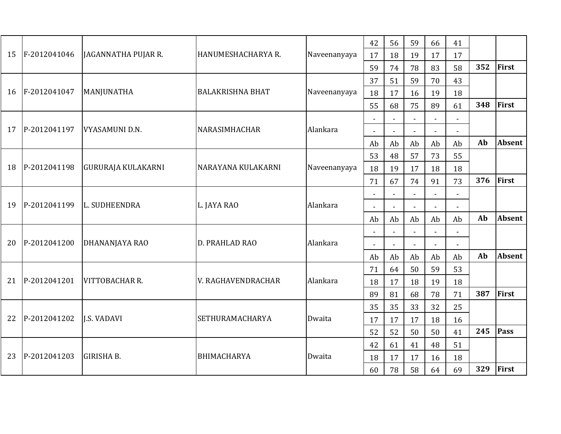| F-2012041046<br>JAGANNATHA PUJAR R.<br>HANUMESHACHARYA R.<br>15<br>Naveenanyaya<br>17<br>18<br>19<br>17<br>17<br>352<br>59<br>74<br>78<br>83<br>58<br>51<br>37<br>59<br>43<br>70<br>F-2012041047<br><b>BALAKRISHNA BHAT</b><br>MANJUNATHA<br>16<br>Naveenanyaya<br>18<br>17<br>16<br>19<br>18<br>348<br>55<br>68<br>75<br>89<br>61<br>P-2012041197<br>VYASAMUNI D.N.<br>NARASIMHACHAR<br>Alankara<br>17<br>$\sim$<br>$\overline{\phantom{a}}$<br>Ab<br>Ab<br>Ab<br>Ab<br>Ab<br>Ab<br>53<br>48<br>57<br>73<br>55<br>P-2012041198<br><b>GURURAJA KULAKARNI</b><br>NARAYANA KULAKARNI<br>18<br>Naveenanyaya<br>18<br>19<br>17<br>18<br>18<br>376<br>91<br>73<br>71<br>67<br>74 |               |
|-----------------------------------------------------------------------------------------------------------------------------------------------------------------------------------------------------------------------------------------------------------------------------------------------------------------------------------------------------------------------------------------------------------------------------------------------------------------------------------------------------------------------------------------------------------------------------------------------------------------------------------------------------------------------------|---------------|
|                                                                                                                                                                                                                                                                                                                                                                                                                                                                                                                                                                                                                                                                             |               |
|                                                                                                                                                                                                                                                                                                                                                                                                                                                                                                                                                                                                                                                                             | First         |
|                                                                                                                                                                                                                                                                                                                                                                                                                                                                                                                                                                                                                                                                             |               |
|                                                                                                                                                                                                                                                                                                                                                                                                                                                                                                                                                                                                                                                                             |               |
|                                                                                                                                                                                                                                                                                                                                                                                                                                                                                                                                                                                                                                                                             | First         |
|                                                                                                                                                                                                                                                                                                                                                                                                                                                                                                                                                                                                                                                                             |               |
|                                                                                                                                                                                                                                                                                                                                                                                                                                                                                                                                                                                                                                                                             |               |
|                                                                                                                                                                                                                                                                                                                                                                                                                                                                                                                                                                                                                                                                             | <b>Absent</b> |
|                                                                                                                                                                                                                                                                                                                                                                                                                                                                                                                                                                                                                                                                             |               |
|                                                                                                                                                                                                                                                                                                                                                                                                                                                                                                                                                                                                                                                                             |               |
|                                                                                                                                                                                                                                                                                                                                                                                                                                                                                                                                                                                                                                                                             | First         |
|                                                                                                                                                                                                                                                                                                                                                                                                                                                                                                                                                                                                                                                                             |               |
| Alankara<br>P-2012041199<br>L. SUDHEENDRA<br>L. JAYA RAO<br>19<br>$\sim$<br>$\overline{a}$                                                                                                                                                                                                                                                                                                                                                                                                                                                                                                                                                                                  |               |
| Ab<br>Ab<br>Ab<br>Ab<br>Ab<br>Ab                                                                                                                                                                                                                                                                                                                                                                                                                                                                                                                                                                                                                                            | <b>Absent</b> |
|                                                                                                                                                                                                                                                                                                                                                                                                                                                                                                                                                                                                                                                                             |               |
| P-2012041200<br>Alankara<br>20<br>DHANANJAYA RAO<br><b>D. PRAHLAD RAO</b><br>$\Delta$                                                                                                                                                                                                                                                                                                                                                                                                                                                                                                                                                                                       |               |
| Ab<br>Ab<br>Ab<br>Ab<br>Ab<br>Ab                                                                                                                                                                                                                                                                                                                                                                                                                                                                                                                                                                                                                                            | Absent        |
| 50<br>71<br>64<br>59<br>53                                                                                                                                                                                                                                                                                                                                                                                                                                                                                                                                                                                                                                                  |               |
| P-2012041201<br>Alankara<br>21<br><b>VITTOBACHAR R.</b><br>V. RAGHAVENDRACHAR<br>17<br>18<br>19<br>18<br>18                                                                                                                                                                                                                                                                                                                                                                                                                                                                                                                                                                 |               |
| 387<br>89<br>81<br>71<br>68<br>78                                                                                                                                                                                                                                                                                                                                                                                                                                                                                                                                                                                                                                           | First         |
| 35<br>35<br>33<br>32<br>25                                                                                                                                                                                                                                                                                                                                                                                                                                                                                                                                                                                                                                                  |               |
| P-2012041202<br>22<br><b>J.S. VADAVI</b><br><b>SETHURAMACHARYA</b><br>Dwaita<br>16<br>17<br>17<br>17<br>18                                                                                                                                                                                                                                                                                                                                                                                                                                                                                                                                                                  |               |
| 245<br>52<br>52<br>50<br>50<br>41                                                                                                                                                                                                                                                                                                                                                                                                                                                                                                                                                                                                                                           | <b>Pass</b>   |
| 42<br>61<br>48<br>41<br>51                                                                                                                                                                                                                                                                                                                                                                                                                                                                                                                                                                                                                                                  |               |
| P-2012041203<br><b>GIRISHA B.</b><br><b>BHIMACHARYA</b><br>23<br>Dwaita<br>18<br>17<br>18<br>17<br>16                                                                                                                                                                                                                                                                                                                                                                                                                                                                                                                                                                       |               |
| 329<br>69<br>78<br>58<br>64<br>60                                                                                                                                                                                                                                                                                                                                                                                                                                                                                                                                                                                                                                           |               |